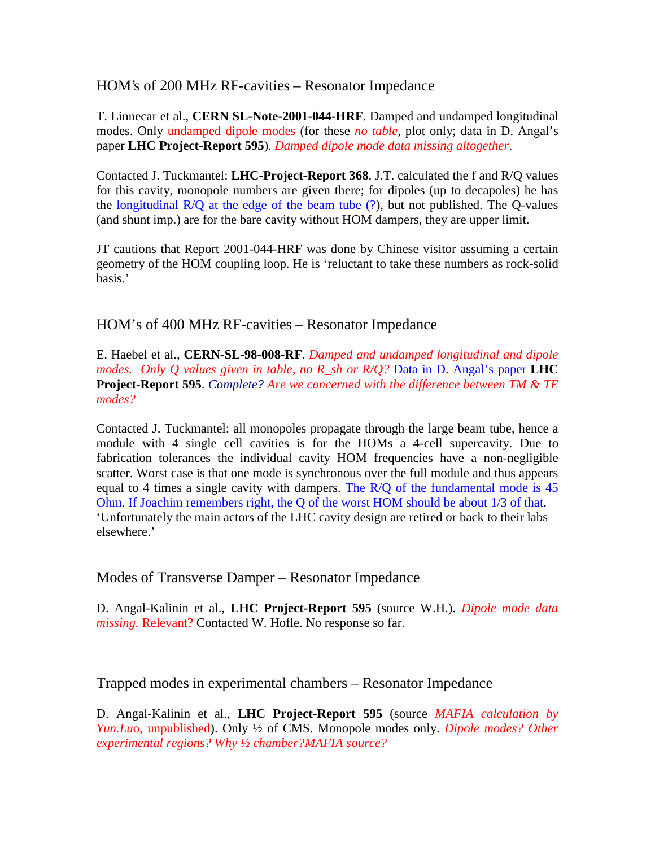HOM's of 200 MHz RF-cavities – Resonator Impedance

T. Linnecar et al., **CERN SL-Note-2001-044-HRF**. Damped and undamped longitudinal modes. Only undamped dipole modes (for these *no table*, plot only; data in D. Angal's paper **LHC Project-Report 595**). *Damped dipole mode data missing altogether*.

Contacted J. Tuckmantel: **LHC-Project-Report 368**. J.T. calculated the f and R/Q values for this cavity, monopole numbers are given there; for dipoles (up to decapoles) he has the longitudinal  $R/Q$  at the edge of the beam tube  $(?)$ , but not published. The Q-values (and shunt imp.) are for the bare cavity without HOM dampers, they are upper limit.

JT cautions that Report 2001-044-HRF was done by Chinese visitor assuming a certain geometry of the HOM coupling loop. He is 'reluctant to take these numbers as rock-solid basis.'

HOM's of 400 MHz RF-cavities – Resonator Impedance

E. Haebel et al., **CERN-SL-98-008-RF**. *Damped and undamped longitudinal and dipole modes. Only Q values given in table, no R\_sh or R/Q?* Data in D. Angal's paper **LHC Project-Report 595**. *Complete? Are we concerned with the difference between TM & TE modes?*

Contacted J. Tuckmantel: all monopoles propagate through the large beam tube, hence a module with 4 single cell cavities is for the HOMs a 4-cell supercavity. Due to fabrication tolerances the individual cavity HOM frequencies have a non-negligible scatter. Worst case is that one mode is synchronous over the full module and thus appears equal to 4 times a single cavity with dampers. The R/Q of the fundamental mode is 45 Ohm. If Joachim remembers right, the Q of the worst HOM should be about 1/3 of that. 'Unfortunately the main actors of the LHC cavity design are retired or back to their labs elsewhere.'

Modes of Transverse Damper – Resonator Impedance

D. Angal-Kalinin et al., **LHC Project-Report 595** (source W.H.). *Dipole mode data missing.* Relevant? Contacted W. Hofle. No response so far.

Trapped modes in experimental chambers – Resonator Impedance

D. Angal-Kalinin et al., **LHC Project-Report 595** (source *MAFIA calculation by Yun.Lu*o, unpublished). Only ½ of CMS. Monopole modes only. *Dipole modes? Other experimental regions? Why ½ chamber?MAFIA source?*